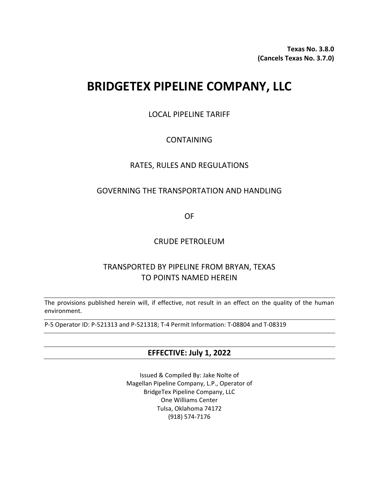**Texas No. 3.8.0 (Cancels Texas No. 3.7.0)**

# **BRIDGETEX PIPELINE COMPANY, LLC**

LOCAL PIPELINE TARIFF

# CONTAINING

# RATES, RULES AND REGULATIONS

# GOVERNING THE TRANSPORTATION AND HANDLING

OF

# CRUDE PETROLEUM

# TRANSPORTED BY PIPELINE FROM BRYAN, TEXAS TO POINTS NAMED HEREIN

The provisions published herein will, if effective, not result in an effect on the quality of the human environment.

P-5 Operator ID: P-521313 and P-521318; T-4 Permit Information: T-08804 and T-08319

# **EFFECTIVE: July 1, 2022**

Issued & Compiled By: Jake Nolte of Magellan Pipeline Company, L.P., Operator of BridgeTex Pipeline Company, LLC One Williams Center Tulsa, Oklahoma 74172 (918) 574-7176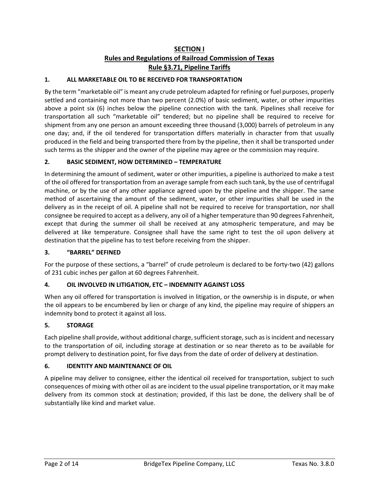# **SECTION I Rules and Regulations of Railroad Commission of Texas Rule §3.71, Pipeline Tariffs**

#### **1. ALL MARKETABLE OIL TO BE RECEIVED FOR TRANSPORTATION**

By the term "marketable oil" is meant any crude petroleum adapted for refining or fuel purposes, properly settled and containing not more than two percent (2.0%) of basic sediment, water, or other impurities above a point six (6) inches below the pipeline connection with the tank. Pipelines shall receive for transportation all such "marketable oil" tendered; but no pipeline shall be required to receive for shipment from any one person an amount exceeding three thousand (3,000) barrels of petroleum in any one day; and, if the oil tendered for transportation differs materially in character from that usually produced in the field and being transported there from by the pipeline, then it shall be transported under such terms as the shipper and the owner of the pipeline may agree or the commission may require.

#### **2. BASIC SEDIMENT, HOW DETERMINED – TEMPERATURE**

In determining the amount of sediment, water or other impurities, a pipeline is authorized to make a test of the oil offered for transportation from an average sample from each such tank, by the use of centrifugal machine, or by the use of any other appliance agreed upon by the pipeline and the shipper. The same method of ascertaining the amount of the sediment, water, or other impurities shall be used in the delivery as in the receipt of oil. A pipeline shall not be required to receive for transportation, nor shall consignee be required to accept as a delivery, any oil of a higher temperature than 90 degrees Fahrenheit, except that during the summer oil shall be received at any atmospheric temperature, and may be delivered at like temperature. Consignee shall have the same right to test the oil upon delivery at destination that the pipeline has to test before receiving from the shipper.

#### **3. "BARREL" DEFINED**

For the purpose of these sections, a "barrel" of crude petroleum is declared to be forty-two (42) gallons of 231 cubic inches per gallon at 60 degrees Fahrenheit.

#### **4. OIL INVOLVED IN LITIGATION, ETC – INDEMNITY AGAINST LOSS**

When any oil offered for transportation is involved in litigation, or the ownership is in dispute, or when the oil appears to be encumbered by lien or charge of any kind, the pipeline may require of shippers an indemnity bond to protect it against all loss.

#### **5. STORAGE**

Each pipeline shall provide, without additional charge, sufficient storage, such as is incident and necessary to the transportation of oil, including storage at destination or so near thereto as to be available for prompt delivery to destination point, for five days from the date of order of delivery at destination.

#### **6. IDENTITY AND MAINTENANCE OF OIL**

A pipeline may deliver to consignee, either the identical oil received for transportation, subject to such consequences of mixing with other oil as are incident to the usual pipeline transportation, or it may make delivery from its common stock at destination; provided, if this last be done, the delivery shall be of substantially like kind and market value.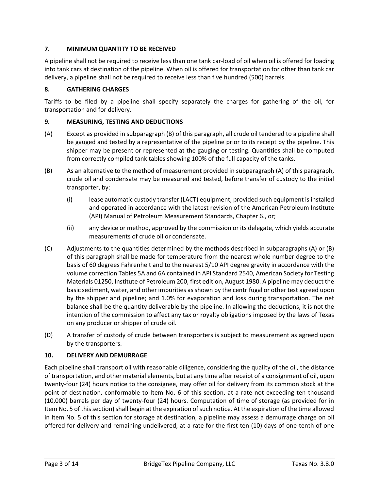#### **7. MINIMUM QUANTITY TO BE RECEIVED**

A pipeline shall not be required to receive less than one tank car-load of oil when oil is offered for loading into tank cars at destination of the pipeline. When oil is offered for transportation for other than tank car delivery, a pipeline shall not be required to receive less than five hundred (500) barrels.

#### **8. GATHERING CHARGES**

Tariffs to be filed by a pipeline shall specify separately the charges for gathering of the oil, for transportation and for delivery.

#### **9. MEASURING, TESTING AND DEDUCTIONS**

- (A) Except as provided in subparagraph (B) of this paragraph, all crude oil tendered to a pipeline shall be gauged and tested by a representative of the pipeline prior to its receipt by the pipeline. This shipper may be present or represented at the gauging or testing. Quantities shall be computed from correctly compiled tank tables showing 100% of the full capacity of the tanks.
- (B) As an alternative to the method of measurement provided in subparagraph (A) of this paragraph, crude oil and condensate may be measured and tested, before transfer of custody to the initial transporter, by:
	- (i) lease automatic custody transfer (LACT) equipment, provided such equipment is installed and operated in accordance with the latest revision of the American Petroleum Institute (API) Manual of Petroleum Measurement Standards, Chapter 6., or;
	- (ii) any device or method, approved by the commission or its delegate, which yields accurate measurements of crude oil or condensate.
- (C) Adjustments to the quantities determined by the methods described in subparagraphs (A) or (B) of this paragraph shall be made for temperature from the nearest whole number degree to the basis of 60 degrees Fahrenheit and to the nearest 5/10 API degree gravity in accordance with the volume correction Tables 5A and 6A contained in API Standard 2540, American Society for Testing Materials 01250, Institute of Petroleum 200, first edition, August 1980. A pipeline may deduct the basic sediment, water, and other impurities as shown by the centrifugal or other test agreed upon by the shipper and pipeline; and 1.0% for evaporation and loss during transportation. The net balance shall be the quantity deliverable by the pipeline. In allowing the deductions, it is not the intention of the commission to affect any tax or royalty obligations imposed by the laws of Texas on any producer or shipper of crude oil.
- (D) A transfer of custody of crude between transporters is subject to measurement as agreed upon by the transporters.

#### **10. DELIVERY AND DEMURRAGE**

Each pipeline shall transport oil with reasonable diligence, considering the quality of the oil, the distance of transportation, and other material elements, but at any time after receipt of a consignment of oil, upon twenty-four (24) hours notice to the consignee, may offer oil for delivery from its common stock at the point of destination, conformable to Item No. 6 of this section, at a rate not exceeding ten thousand (10,000) barrels per day of twenty-four (24) hours. Computation of time of storage (as provided for in Item No. 5 of this section) shall begin at the expiration of such notice. At the expiration of the time allowed in Item No. 5 of this section for storage at destination, a pipeline may assess a demurrage charge on oil offered for delivery and remaining undelivered, at a rate for the first ten (10) days of one-tenth of one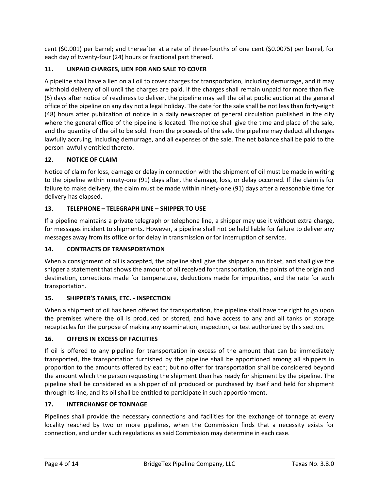cent (\$0.001) per barrel; and thereafter at a rate of three-fourths of one cent (\$0.0075) per barrel, for each day of twenty-four (24) hours or fractional part thereof.

## **11. UNPAID CHARGES, LIEN FOR AND SALE TO COVER**

A pipeline shall have a lien on all oil to cover charges for transportation, including demurrage, and it may withhold delivery of oil until the charges are paid. If the charges shall remain unpaid for more than five (5) days after notice of readiness to deliver, the pipeline may sell the oil at public auction at the general office of the pipeline on any day not a legal holiday. The date for the sale shall be not less than forty-eight (48) hours after publication of notice in a daily newspaper of general circulation published in the city where the general office of the pipeline is located. The notice shall give the time and place of the sale, and the quantity of the oil to be sold. From the proceeds of the sale, the pipeline may deduct all charges lawfully accruing, including demurrage, and all expenses of the sale. The net balance shall be paid to the person lawfully entitled thereto.

#### **12. NOTICE OF CLAIM**

Notice of claim for loss, damage or delay in connection with the shipment of oil must be made in writing to the pipeline within ninety-one (91) days after, the damage, loss, or delay occurred. If the claim is for failure to make delivery, the claim must be made within ninety-one (91) days after a reasonable time for delivery has elapsed.

#### **13. TELEPHONE – TELEGRAPH LINE – SHIPPER TO USE**

If a pipeline maintains a private telegraph or telephone line, a shipper may use it without extra charge, for messages incident to shipments. However, a pipeline shall not be held liable for failure to deliver any messages away from its office or for delay in transmission or for interruption of service.

#### **14. CONTRACTS OF TRANSPORTATION**

When a consignment of oil is accepted, the pipeline shall give the shipper a run ticket, and shall give the shipper a statement that shows the amount of oil received for transportation, the points of the origin and destination, corrections made for temperature, deductions made for impurities, and the rate for such transportation.

#### **15. SHIPPER'S TANKS, ETC. - INSPECTION**

When a shipment of oil has been offered for transportation, the pipeline shall have the right to go upon the premises where the oil is produced or stored, and have access to any and all tanks or storage receptacles for the purpose of making any examination, inspection, or test authorized by this section.

#### **16. OFFERS IN EXCESS OF FACILITIES**

If oil is offered to any pipeline for transportation in excess of the amount that can be immediately transported, the transportation furnished by the pipeline shall be apportioned among all shippers in proportion to the amounts offered by each; but no offer for transportation shall be considered beyond the amount which the person requesting the shipment then has ready for shipment by the pipeline. The pipeline shall be considered as a shipper of oil produced or purchased by itself and held for shipment through its line, and its oil shall be entitled to participate in such apportionment.

#### **17. INTERCHANGE OF TONNAGE**

Pipelines shall provide the necessary connections and facilities for the exchange of tonnage at every locality reached by two or more pipelines, when the Commission finds that a necessity exists for connection, and under such regulations as said Commission may determine in each case.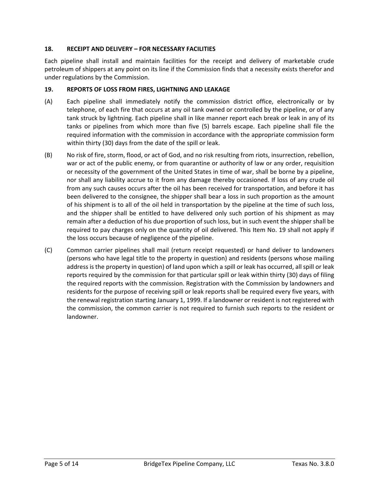#### **18. RECEIPT AND DELIVERY – FOR NECESSARY FACILITIES**

Each pipeline shall install and maintain facilities for the receipt and delivery of marketable crude petroleum of shippers at any point on its line if the Commission finds that a necessity exists therefor and under regulations by the Commission.

#### **19. REPORTS OF LOSS FROM FIRES, LIGHTNING AND LEAKAGE**

- (A) Each pipeline shall immediately notify the commission district office, electronically or by telephone, of each fire that occurs at any oil tank owned or controlled by the pipeline, or of any tank struck by lightning. Each pipeline shall in like manner report each break or leak in any of its tanks or pipelines from which more than five (5) barrels escape. Each pipeline shall file the required information with the commission in accordance with the appropriate commission form within thirty (30) days from the date of the spill or leak.
- (B) No risk of fire, storm, flood, or act of God, and no risk resulting from riots, insurrection, rebellion, war or act of the public enemy, or from quarantine or authority of law or any order, requisition or necessity of the government of the United States in time of war, shall be borne by a pipeline, nor shall any liability accrue to it from any damage thereby occasioned. If loss of any crude oil from any such causes occurs after the oil has been received for transportation, and before it has been delivered to the consignee, the shipper shall bear a loss in such proportion as the amount of his shipment is to all of the oil held in transportation by the pipeline at the time of such loss, and the shipper shall be entitled to have delivered only such portion of his shipment as may remain after a deduction of his due proportion of such loss, but in such event the shipper shall be required to pay charges only on the quantity of oil delivered. This Item No. 19 shall not apply if the loss occurs because of negligence of the pipeline.
- (C) Common carrier pipelines shall mail (return receipt requested) or hand deliver to landowners (persons who have legal title to the property in question) and residents (persons whose mailing address is the property in question) of land upon which a spill or leak has occurred, all spill or leak reports required by the commission for that particular spill or leak within thirty (30) days of filing the required reports with the commission. Registration with the Commission by landowners and residents for the purpose of receiving spill or leak reports shall be required every five years, with the renewal registration starting January 1, 1999. If a landowner or resident is not registered with the commission, the common carrier is not required to furnish such reports to the resident or landowner.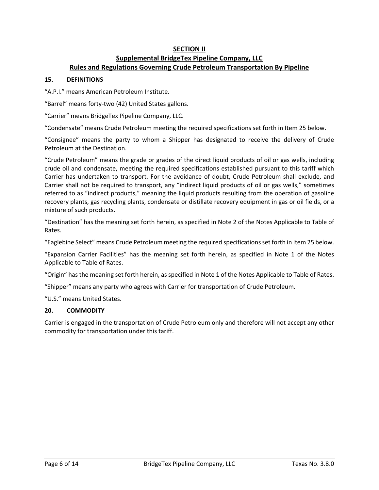## **SECTION II Supplemental BridgeTex Pipeline Company, LLC Rules and Regulations Governing Crude Petroleum Transportation By Pipeline**

#### **15. DEFINITIONS**

"A.P.I." means American Petroleum Institute.

"Barrel" means forty-two (42) United States gallons.

"Carrier" means BridgeTex Pipeline Company, LLC.

"Condensate" means Crude Petroleum meeting the required specifications set forth in Item 25 below.

"Consignee" means the party to whom a Shipper has designated to receive the delivery of Crude Petroleum at the Destination.

"Crude Petroleum" means the grade or grades of the direct liquid products of oil or gas wells, including crude oil and condensate, meeting the required specifications established pursuant to this tariff which Carrier has undertaken to transport. For the avoidance of doubt, Crude Petroleum shall exclude, and Carrier shall not be required to transport, any "indirect liquid products of oil or gas wells," sometimes referred to as "indirect products," meaning the liquid products resulting from the operation of gasoline recovery plants, gas recycling plants, condensate or distillate recovery equipment in gas or oil fields, or a mixture of such products.

"Destination" has the meaning set forth herein, as specified in Note 2 of the Notes Applicable to Table of Rates.

"Eaglebine Select" means Crude Petroleum meeting the required specifications set forth in Item 25 below.

"Expansion Carrier Facilities" has the meaning set forth herein, as specified in Note 1 of the Notes Applicable to Table of Rates.

"Origin" has the meaning set forth herein, as specified in Note 1 of the Notes Applicable to Table of Rates.

"Shipper" means any party who agrees with Carrier for transportation of Crude Petroleum.

"U.S." means United States.

#### **20. COMMODITY**

Carrier is engaged in the transportation of Crude Petroleum only and therefore will not accept any other commodity for transportation under this tariff.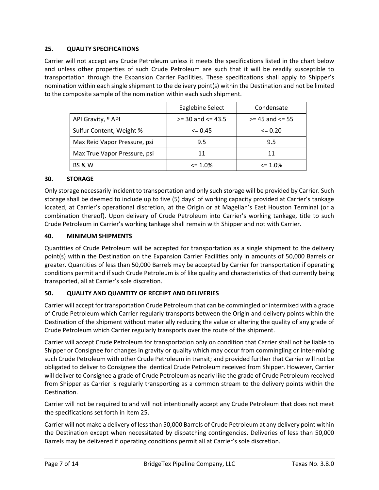#### **25. QUALITY SPECIFICATIONS**

Carrier will not accept any Crude Petroleum unless it meets the specifications listed in the chart below and unless other properties of such Crude Petroleum are such that it will be readily susceptible to transportation through the Expansion Carrier Facilities. These specifications shall apply to Shipper's nomination within each single shipment to the delivery point(s) within the Destination and not be limited to the composite sample of the nomination within each such shipment.

|                               | Eaglebine Select      | Condensate          |
|-------------------------------|-----------------------|---------------------|
| API Gravity, <sup>o</sup> API | $>=$ 30 and $<=$ 43.5 | $>= 45$ and $<= 55$ |
| Sulfur Content, Weight %      | $\leq$ 0.45           | $\leq$ 0.20         |
| Max Reid Vapor Pressure, psi  | 9.5                   | 9.5                 |
| Max True Vapor Pressure, psi  | 11                    | 11                  |
| <b>BS &amp; W</b>             | $\leq$ 1.0%           | $\leq$ 1.0%         |

#### **30. STORAGE**

Only storage necessarily incident to transportation and only such storage will be provided by Carrier. Such storage shall be deemed to include up to five (5) days' of working capacity provided at Carrier's tankage located, at Carrier's operational discretion, at the Origin or at Magellan's East Houston Terminal (or a combination thereof). Upon delivery of Crude Petroleum into Carrier's working tankage, title to such Crude Petroleum in Carrier's working tankage shall remain with Shipper and not with Carrier.

#### **40. MINIMUM SHIPMENTS**

Quantities of Crude Petroleum will be accepted for transportation as a single shipment to the delivery point(s) within the Destination on the Expansion Carrier Facilities only in amounts of 50,000 Barrels or greater. Quantities of less than 50,000 Barrels may be accepted by Carrier for transportation if operating conditions permit and if such Crude Petroleum is of like quality and characteristics of that currently being transported, all at Carrier's sole discretion.

#### **50. QUALITY AND QUANTITY OF RECEIPT AND DELIVERIES**

Carrier will accept for transportation Crude Petroleum that can be commingled or intermixed with a grade of Crude Petroleum which Carrier regularly transports between the Origin and delivery points within the Destination of the shipment without materially reducing the value or altering the quality of any grade of Crude Petroleum which Carrier regularly transports over the route of the shipment.

Carrier will accept Crude Petroleum for transportation only on condition that Carrier shall not be liable to Shipper or Consignee for changes in gravity or quality which may occur from commingling or inter-mixing such Crude Petroleum with other Crude Petroleum in transit; and provided further that Carrier will not be obligated to deliver to Consignee the identical Crude Petroleum received from Shipper. However, Carrier will deliver to Consignee a grade of Crude Petroleum as nearly like the grade of Crude Petroleum received from Shipper as Carrier is regularly transporting as a common stream to the delivery points within the Destination.

Carrier will not be required to and will not intentionally accept any Crude Petroleum that does not meet the specifications set forth in Item 25.

Carrier will not make a delivery of less than 50,000 Barrels of Crude Petroleum at any delivery point within the Destination except when necessitated by dispatching contingencies. Deliveries of less than 50,000 Barrels may be delivered if operating conditions permit all at Carrier's sole discretion.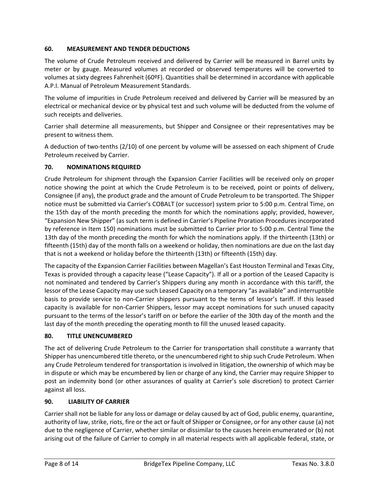#### **60. MEASUREMENT AND TENDER DEDUCTIONS**

The volume of Crude Petroleum received and delivered by Carrier will be measured in Barrel units by meter or by gauge. Measured volumes at recorded or observed temperatures will be converted to volumes at sixty degrees Fahrenheit (60ºF). Quantities shall be determined in accordance with applicable A.P.I. Manual of Petroleum Measurement Standards.

The volume of impurities in Crude Petroleum received and delivered by Carrier will be measured by an electrical or mechanical device or by physical test and such volume will be deducted from the volume of such receipts and deliveries.

Carrier shall determine all measurements, but Shipper and Consignee or their representatives may be present to witness them.

A deduction of two-tenths (2/10) of one percent by volume will be assessed on each shipment of Crude Petroleum received by Carrier.

#### **70. NOMINATIONS REQUIRED**

Crude Petroleum for shipment through the Expansion Carrier Facilities will be received only on proper notice showing the point at which the Crude Petroleum is to be received, point or points of delivery, Consignee (if any), the product grade and the amount of Crude Petroleum to be transported. The Shipper notice must be submitted via Carrier's COBALT (or successor) system prior to 5:00 p.m. Central Time, on the 15th day of the month preceding the month for which the nominations apply; provided, however, "Expansion New Shipper" (as such term is defined in Carrier's Pipeline Proration Procedures incorporated by reference in Item 150) nominations must be submitted to Carrier prior to 5:00 p.m. Central Time the 13th day of the month preceding the month for which the nominations apply. If the thirteenth (13th) or fifteenth (15th) day of the month falls on a weekend or holiday, then nominations are due on the last day that is not a weekend or holiday before the thirteenth (13th) or fifteenth (15th) day.

The capacity of the Expansion Carrier Facilities between Magellan's East Houston Terminal and Texas City, Texas is provided through a capacity lease ("Lease Capacity"). If all or a portion of the Leased Capacity is not nominated and tendered by Carrier's Shippers during any month in accordance with this tariff, the lessor of the Lease Capacity may use such Leased Capacity on a temporary "as available" and interruptible basis to provide service to non-Carrier shippers pursuant to the terms of lessor's tariff. If this leased capacity is available for non-Carrier Shippers, lessor may accept nominations for such unused capacity pursuant to the terms of the lessor's tariff on or before the earlier of the 30th day of the month and the last day of the month preceding the operating month to fill the unused leased capacity.

#### **80. TITLE UNENCUMBERED**

The act of delivering Crude Petroleum to the Carrier for transportation shall constitute a warranty that Shipper has unencumbered title thereto, or the unencumbered right to ship such Crude Petroleum. When any Crude Petroleum tendered for transportation is involved in litigation, the ownership of which may be in dispute or which may be encumbered by lien or charge of any kind, the Carrier may require Shipper to post an indemnity bond (or other assurances of quality at Carrier's sole discretion) to protect Carrier against all loss.

#### **90. LIABILITY OF CARRIER**

Carrier shall not be liable for any loss or damage or delay caused by act of God, public enemy, quarantine, authority of law, strike, riots, fire or the act or fault of Shipper or Consignee, or for any other cause (a) not due to the negligence of Carrier, whether similar or dissimilar to the causes herein enumerated or (b) not arising out of the failure of Carrier to comply in all material respects with all applicable federal, state, or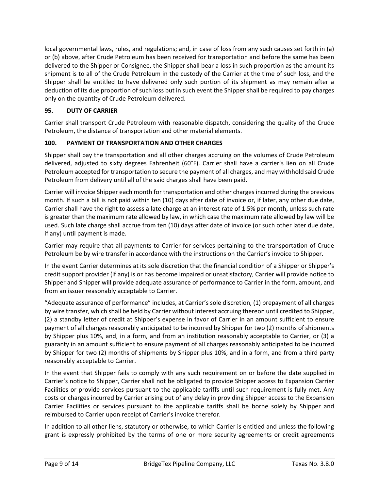local governmental laws, rules, and regulations; and, in case of loss from any such causes set forth in (a) or (b) above, after Crude Petroleum has been received for transportation and before the same has been delivered to the Shipper or Consignee, the Shipper shall bear a loss in such proportion as the amount its shipment is to all of the Crude Petroleum in the custody of the Carrier at the time of such loss, and the Shipper shall be entitled to have delivered only such portion of its shipment as may remain after a deduction of its due proportion of such loss but in such event the Shipper shall be required to pay charges only on the quantity of Crude Petroleum delivered.

## **95. DUTY OF CARRIER**

Carrier shall transport Crude Petroleum with reasonable dispatch, considering the quality of the Crude Petroleum, the distance of transportation and other material elements.

## **100. PAYMENT OF TRANSPORTATION AND OTHER CHARGES**

Shipper shall pay the transportation and all other charges accruing on the volumes of Crude Petroleum delivered, adjusted to sixty degrees Fahrenheit (60°F). Carrier shall have a carrier's lien on all Crude Petroleum accepted for transportation to secure the payment of all charges, and may withhold said Crude Petroleum from delivery until all of the said charges shall have been paid.

Carrier will invoice Shipper each month for transportation and other charges incurred during the previous month. If such a bill is not paid within ten (10) days after date of invoice or, if later, any other due date, Carrier shall have the right to assess a late charge at an interest rate of 1.5% per month, unless such rate is greater than the maximum rate allowed by law, in which case the maximum rate allowed by law will be used. Such late charge shall accrue from ten (10) days after date of invoice (or such other later due date, if any) until payment is made.

Carrier may require that all payments to Carrier for services pertaining to the transportation of Crude Petroleum be by wire transfer in accordance with the instructions on the Carrier's invoice to Shipper.

In the event Carrier determines at its sole discretion that the financial condition of a Shipper or Shipper's credit support provider (if any) is or has become impaired or unsatisfactory, Carrier will provide notice to Shipper and Shipper will provide adequate assurance of performance to Carrier in the form, amount, and from an issuer reasonably acceptable to Carrier.

"Adequate assurance of performance" includes, at Carrier's sole discretion, (1) prepayment of all charges by wire transfer, which shall be held by Carrier without interest accruing thereon until credited to Shipper, (2) a standby letter of credit at Shipper's expense in favor of Carrier in an amount sufficient to ensure payment of all charges reasonably anticipated to be incurred by Shipper for two (2) months of shipments by Shipper plus 10%, and, in a form, and from an institution reasonably acceptable to Carrier, or (3) a guaranty in an amount sufficient to ensure payment of all charges reasonably anticipated to be incurred by Shipper for two (2) months of shipments by Shipper plus 10%, and in a form, and from a third party reasonably acceptable to Carrier.

In the event that Shipper fails to comply with any such requirement on or before the date supplied in Carrier's notice to Shipper, Carrier shall not be obligated to provide Shipper access to Expansion Carrier Facilities or provide services pursuant to the applicable tariffs until such requirement is fully met. Any costs or charges incurred by Carrier arising out of any delay in providing Shipper access to the Expansion Carrier Facilities or services pursuant to the applicable tariffs shall be borne solely by Shipper and reimbursed to Carrier upon receipt of Carrier's invoice therefor.

In addition to all other liens, statutory or otherwise, to which Carrier is entitled and unless the following grant is expressly prohibited by the terms of one or more security agreements or credit agreements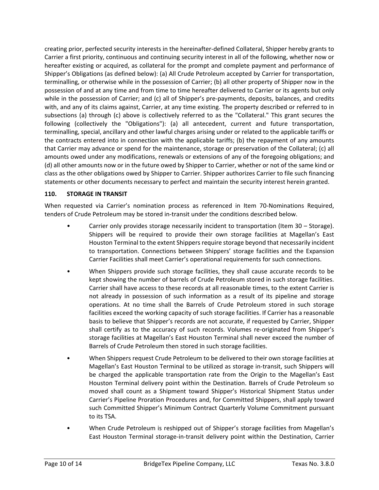creating prior, perfected security interests in the hereinafter-defined Collateral, Shipper hereby grants to Carrier a first priority, continuous and continuing security interest in all of the following, whether now or hereafter existing or acquired, as collateral for the prompt and complete payment and performance of Shipper's Obligations (as defined below): (a) All Crude Petroleum accepted by Carrier for transportation, terminalling, or otherwise while in the possession of Carrier; (b) all other property of Shipper now in the possession of and at any time and from time to time hereafter delivered to Carrier or its agents but only while in the possession of Carrier; and (c) all of Shipper's pre-payments, deposits, balances, and credits with, and any of its claims against, Carrier, at any time existing. The property described or referred to in subsections (a) through (c) above is collectively referred to as the "Collateral." This grant secures the following (collectively the "Obligations"): (a) all antecedent, current and future transportation, terminalling, special, ancillary and other lawful charges arising under or related to the applicable tariffs or the contracts entered into in connection with the applicable tariffs; (b) the repayment of any amounts that Carrier may advance or spend for the maintenance, storage or preservation of the Collateral; (c) all amounts owed under any modifications, renewals or extensions of any of the foregoing obligations; and (d) all other amounts now or in the future owed by Shipper to Carrier, whether or not of the same kind or class as the other obligations owed by Shipper to Carrier. Shipper authorizes Carrier to file such financing statements or other documents necessary to perfect and maintain the security interest herein granted.

#### **110. STORAGE IN TRANSIT**

When requested via Carrier's nomination process as referenced in Item 70-Nominations Required, tenders of Crude Petroleum may be stored in-transit under the conditions described below.

- Carrier only provides storage necessarily incident to transportation (Item 30 Storage). Shippers will be required to provide their own storage facilities at Magellan's East Houston Terminal to the extent Shippers require storage beyond that necessarily incident to transportation. Connections between Shippers' storage facilities and the Expansion Carrier Facilities shall meet Carrier's operational requirements for such connections.
- When Shippers provide such storage facilities, they shall cause accurate records to be kept showing the number of barrels of Crude Petroleum stored in such storage facilities. Carrier shall have access to these records at all reasonable times, to the extent Carrier is not already in possession of such information as a result of its pipeline and storage operations. At no time shall the Barrels of Crude Petroleum stored in such storage facilities exceed the working capacity of such storage facilities. If Carrier has a reasonable basis to believe that Shipper's records are not accurate, if requested by Carrier, Shipper shall certify as to the accuracy of such records. Volumes re-originated from Shipper's storage facilities at Magellan's East Houston Terminal shall never exceed the number of Barrels of Crude Petroleum then stored in such storage facilities.
- When Shippers request Crude Petroleum to be delivered to their own storage facilities at Magellan's East Houston Terminal to be utilized as storage in-transit, such Shippers will be charged the applicable transportation rate from the Origin to the Magellan's East Houston Terminal delivery point within the Destination. Barrels of Crude Petroleum so moved shall count as a Shipment toward Shipper's Historical Shipment Status under Carrier's Pipeline Proration Procedures and, for Committed Shippers, shall apply toward such Committed Shipper's Minimum Contract Quarterly Volume Commitment pursuant to its TSA.
- When Crude Petroleum is reshipped out of Shipper's storage facilities from Magellan's East Houston Terminal storage-in-transit delivery point within the Destination, Carrier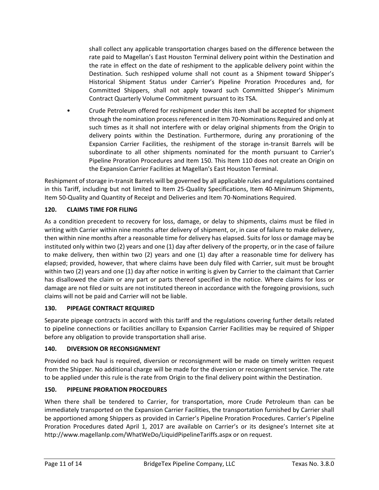shall collect any applicable transportation charges based on the difference between the rate paid to Magellan's East Houston Terminal delivery point within the Destination and the rate in effect on the date of reshipment to the applicable delivery point within the Destination. Such reshipped volume shall not count as a Shipment toward Shipper's Historical Shipment Status under Carrier's Pipeline Proration Procedures and, for Committed Shippers, shall not apply toward such Committed Shipper's Minimum Contract Quarterly Volume Commitment pursuant to its TSA.

• Crude Petroleum offered for reshipment under this item shall be accepted for shipment through the nomination process referenced in Item 70-Nominations Required and only at such times as it shall not interfere with or delay original shipments from the Origin to delivery points within the Destination. Furthermore, during any prorationing of the Expansion Carrier Facilities, the reshipment of the storage in-transit Barrels will be subordinate to all other shipments nominated for the month pursuant to Carrier's Pipeline Proration Procedures and Item 150. This Item 110 does not create an Origin on the Expansion Carrier Facilities at Magellan's East Houston Terminal.

Reshipment of storage in-transit Barrels will be governed by all applicable rules and regulations contained in this Tariff, including but not limited to Item 25-Quality Specifications, Item 40-Minimum Shipments, Item 50-Quality and Quantity of Receipt and Deliveries and Item 70-Nominations Required.

## **120. CLAIMS TIME FOR FILING**

As a condition precedent to recovery for loss, damage, or delay to shipments, claims must be filed in writing with Carrier within nine months after delivery of shipment, or, in case of failure to make delivery, then within nine months after a reasonable time for delivery has elapsed. Suits for loss or damage may be instituted only within two (2) years and one (1) day after delivery of the property, or in the case of failure to make delivery, then within two (2) years and one (1) day after a reasonable time for delivery has elapsed; provided, however, that where claims have been duly filed with Carrier, suit must be brought within two (2) years and one (1) day after notice in writing is given by Carrier to the claimant that Carrier has disallowed the claim or any part or parts thereof specified in the notice. Where claims for loss or damage are not filed or suits are not instituted thereon in accordance with the foregoing provisions, such claims will not be paid and Carrier will not be liable.

#### **130. PIPEAGE CONTRACT REQUIRED**

Separate pipeage contracts in accord with this tariff and the regulations covering further details related to pipeline connections or facilities ancillary to Expansion Carrier Facilities may be required of Shipper before any obligation to provide transportation shall arise.

#### **140. DIVERSION OR RECONSIGNMENT**

Provided no back haul is required, diversion or reconsignment will be made on timely written request from the Shipper. No additional charge will be made for the diversion or reconsignment service. The rate to be applied under this rule is the rate from Origin to the final delivery point within the Destination.

#### **150. PIPELINE PRORATION PROCEDURES**

When there shall be tendered to Carrier, for transportation, more Crude Petroleum than can be immediately transported on the Expansion Carrier Facilities, the transportation furnished by Carrier shall be apportioned among Shippers as provided in Carrier's Pipeline Proration Procedures. Carrier's Pipeline Proration Procedures dated April 1, 2017 are available on Carrier's or its designee's Internet site at http://www.magellanlp.com/WhatWeDo/LiquidPipelineTariffs.aspx or on request.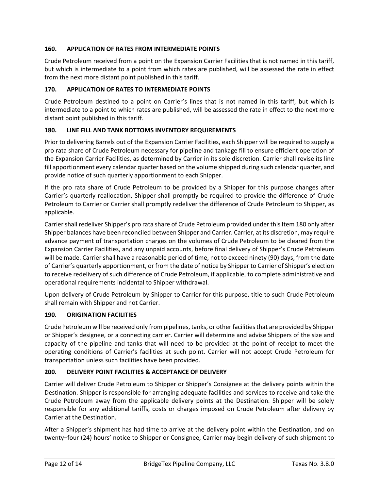#### **160. APPLICATION OF RATES FROM INTERMEDIATE POINTS**

Crude Petroleum received from a point on the Expansion Carrier Facilities that is not named in this tariff, but which is intermediate to a point from which rates are published, will be assessed the rate in effect from the next more distant point published in this tariff.

#### **170. APPLICATION OF RATES TO INTERMEDIATE POINTS**

Crude Petroleum destined to a point on Carrier's lines that is not named in this tariff, but which is intermediate to a point to which rates are published, will be assessed the rate in effect to the next more distant point published in this tariff.

#### **180. LINE FILL AND TANK BOTTOMS INVENTORY REQUIREMENTS**

Prior to delivering Barrels out of the Expansion Carrier Facilities, each Shipper will be required to supply a pro rata share of Crude Petroleum necessary for pipeline and tankage fill to ensure efficient operation of the Expansion Carrier Facilities, as determined by Carrier in its sole discretion. Carrier shall revise its line fill apportionment every calendar quarter based on the volume shipped during such calendar quarter, and provide notice of such quarterly apportionment to each Shipper.

If the pro rata share of Crude Petroleum to be provided by a Shipper for this purpose changes after Carrier's quarterly reallocation, Shipper shall promptly be required to provide the difference of Crude Petroleum to Carrier or Carrier shall promptly redeliver the difference of Crude Petroleum to Shipper, as applicable.

Carrier shall redeliver Shipper's pro rata share of Crude Petroleum provided under this Item 180 only after Shipper balances have been reconciled between Shipper and Carrier. Carrier, at its discretion, may require advance payment of transportation charges on the volumes of Crude Petroleum to be cleared from the Expansion Carrier Facilities, and any unpaid accounts, before final delivery of Shipper's Crude Petroleum will be made. Carrier shall have a reasonable period of time, not to exceed ninety (90) days, from the date of Carrier's quarterly apportionment, or from the date of notice by Shipper to Carrier of Shipper's election to receive redelivery of such difference of Crude Petroleum, if applicable, to complete administrative and operational requirements incidental to Shipper withdrawal.

Upon delivery of Crude Petroleum by Shipper to Carrier for this purpose, title to such Crude Petroleum shall remain with Shipper and not Carrier.

#### **190. ORIGINATION FACILITIES**

Crude Petroleum will be received only from pipelines, tanks, or other facilities that are provided by Shipper or Shipper's designee, or a connecting carrier. Carrier will determine and advise Shippers of the size and capacity of the pipeline and tanks that will need to be provided at the point of receipt to meet the operating conditions of Carrier's facilities at such point. Carrier will not accept Crude Petroleum for transportation unless such facilities have been provided.

#### **200. DELIVERY POINT FACILITIES & ACCEPTANCE OF DELIVERY**

Carrier will deliver Crude Petroleum to Shipper or Shipper's Consignee at the delivery points within the Destination. Shipper is responsible for arranging adequate facilities and services to receive and take the Crude Petroleum away from the applicable delivery points at the Destination. Shipper will be solely responsible for any additional tariffs, costs or charges imposed on Crude Petroleum after delivery by Carrier at the Destination.

After a Shipper's shipment has had time to arrive at the delivery point within the Destination, and on twenty–four (24) hours' notice to Shipper or Consignee, Carrier may begin delivery of such shipment to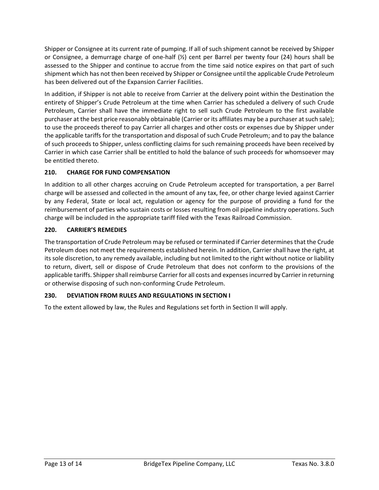Shipper or Consignee at its current rate of pumping. If all of such shipment cannot be received by Shipper or Consignee, a demurrage charge of one-half (½) cent per Barrel per twenty four (24) hours shall be assessed to the Shipper and continue to accrue from the time said notice expires on that part of such shipment which has not then been received by Shipper or Consignee until the applicable Crude Petroleum has been delivered out of the Expansion Carrier Facilities.

In addition, if Shipper is not able to receive from Carrier at the delivery point within the Destination the entirety of Shipper's Crude Petroleum at the time when Carrier has scheduled a delivery of such Crude Petroleum, Carrier shall have the immediate right to sell such Crude Petroleum to the first available purchaser at the best price reasonably obtainable (Carrier or its affiliates may be a purchaser at such sale); to use the proceeds thereof to pay Carrier all charges and other costs or expenses due by Shipper under the applicable tariffs for the transportation and disposal of such Crude Petroleum; and to pay the balance of such proceeds to Shipper, unless conflicting claims for such remaining proceeds have been received by Carrier in which case Carrier shall be entitled to hold the balance of such proceeds for whomsoever may be entitled thereto.

# **210. CHARGE FOR FUND COMPENSATION**

In addition to all other charges accruing on Crude Petroleum accepted for transportation, a per Barrel charge will be assessed and collected in the amount of any tax, fee, or other charge levied against Carrier by any Federal, State or local act, regulation or agency for the purpose of providing a fund for the reimbursement of parties who sustain costs or losses resulting from oil pipeline industry operations. Such charge will be included in the appropriate tariff filed with the Texas Railroad Commission.

#### **220. CARRIER'S REMEDIES**

The transportation of Crude Petroleum may be refused or terminated if Carrier determines that the Crude Petroleum does not meet the requirements established herein. In addition, Carrier shall have the right, at its sole discretion, to any remedy available, including but not limited to the right without notice or liability to return, divert, sell or dispose of Crude Petroleum that does not conform to the provisions of the applicable tariffs. Shipper shall reimburse Carrier for all costs and expenses incurred by Carrier in returning or otherwise disposing of such non-conforming Crude Petroleum.

#### **230. DEVIATION FROM RULES AND REGULATIONS IN SECTION I**

To the extent allowed by law, the Rules and Regulations set forth in Section II will apply.